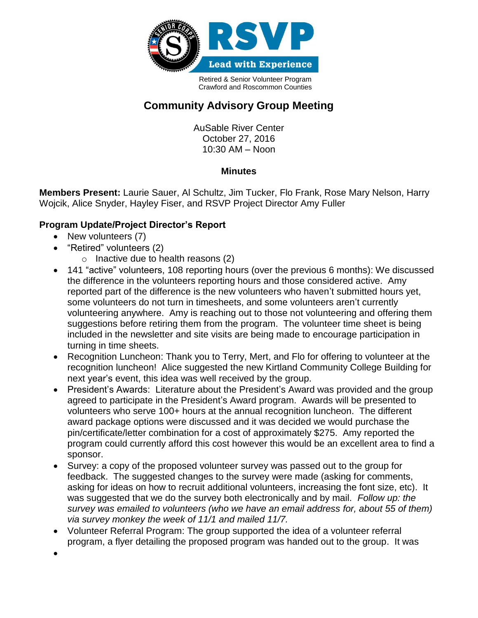

Retired & Senior Volunteer Program Crawford and Roscommon Counties

## **Community Advisory Group Meeting**

AuSable River Center October 27, 2016 10:30 AM – Noon

## **Minutes**

**Members Present:** Laurie Sauer, Al Schultz, Jim Tucker, Flo Frank, Rose Mary Nelson, Harry Wojcik, Alice Snyder, Hayley Fiser, and RSVP Project Director Amy Fuller

## **Program Update/Project Director's Report**

- New volunteers (7)
- "Retired" volunteers (2)
	- o Inactive due to health reasons (2)
- 141 "active" volunteers, 108 reporting hours (over the previous 6 months): We discussed the difference in the volunteers reporting hours and those considered active. Amy reported part of the difference is the new volunteers who haven't submitted hours yet, some volunteers do not turn in timesheets, and some volunteers aren't currently volunteering anywhere. Amy is reaching out to those not volunteering and offering them suggestions before retiring them from the program. The volunteer time sheet is being included in the newsletter and site visits are being made to encourage participation in turning in time sheets.
- Recognition Luncheon: Thank you to Terry, Mert, and Flo for offering to volunteer at the recognition luncheon! Alice suggested the new Kirtland Community College Building for next year's event, this idea was well received by the group.
- President's Awards: Literature about the President's Award was provided and the group agreed to participate in the President's Award program. Awards will be presented to volunteers who serve 100+ hours at the annual recognition luncheon. The different award package options were discussed and it was decided we would purchase the pin/certificate/letter combination for a cost of approximately \$275. Amy reported the program could currently afford this cost however this would be an excellent area to find a sponsor.
- Survey: a copy of the proposed volunteer survey was passed out to the group for feedback. The suggested changes to the survey were made (asking for comments, asking for ideas on how to recruit additional volunteers, increasing the font size, etc). It was suggested that we do the survey both electronically and by mail. *Follow up: the survey was emailed to volunteers (who we have an email address for, about 55 of them) via survey monkey the week of 11/1 and mailed 11/7.*
- Volunteer Referral Program: The group supported the idea of a volunteer referral program, a flyer detailing the proposed program was handed out to the group. It was
- $\bullet$